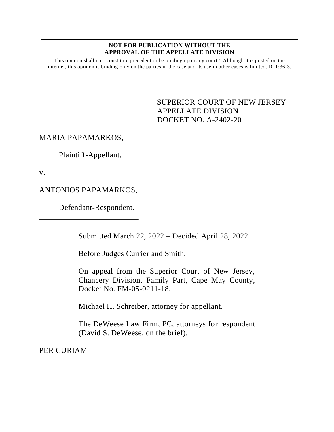#### **NOT FOR PUBLICATION WITHOUT THE APPROVAL OF THE APPELLATE DIVISION**

This opinion shall not "constitute precedent or be binding upon any court." Although it is posted on the internet, this opinion is binding only on the parties in the case and its use in other cases is limited. R. 1:36-3.

> SUPERIOR COURT OF NEW JERSEY APPELLATE DIVISION DOCKET NO. A-2402-20

# MARIA PAPAMARKOS,

Plaintiff-Appellant,

v.

# ANTONIOS PAPAMARKOS,

\_\_\_\_\_\_\_\_\_\_\_\_\_\_\_\_\_\_\_\_\_\_\_\_\_

Defendant-Respondent.

Submitted March 22, 2022 – Decided April 28, 2022

Before Judges Currier and Smith.

On appeal from the Superior Court of New Jersey, Chancery Division, Family Part, Cape May County, Docket No. FM-05-0211-18.

Michael H. Schreiber, attorney for appellant.

The DeWeese Law Firm, PC, attorneys for respondent (David S. DeWeese, on the brief).

PER CURIAM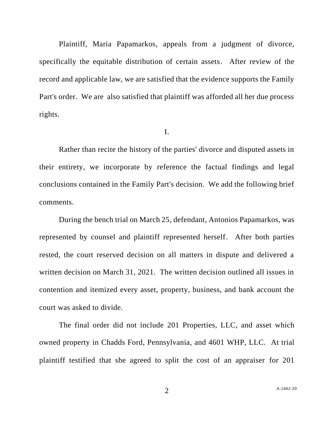Plaintiff, Maria Papamarkos, appeals from a judgment of divorce, specifically the equitable distribution of certain assets. After review of the record and applicable law, we are satisfied that the evidence supports the Family Part's order. We are also satisfied that plaintiff was afforded all her due process rights.

#### I.

Rather than recite the history of the parties' divorce and disputed assets in their entirety, we incorporate by reference the factual findings and legal conclusions contained in the Family Part's decision. We add the following brief comments.

During the bench trial on March 25, defendant, Antonios Papamarkos, was represented by counsel and plaintiff represented herself. After both parties rested, the court reserved decision on all matters in dispute and delivered a written decision on March 31, 2021. The written decision outlined all issues in contention and itemized every asset, property, business, and bank account the court was asked to divide.

The final order did not include 201 Properties, LLC, and asset which owned property in Chadds Ford, Pennsylvania, and 4601 WHP, LLC. At trial plaintiff testified that she agreed to split the cost of an appraiser for 201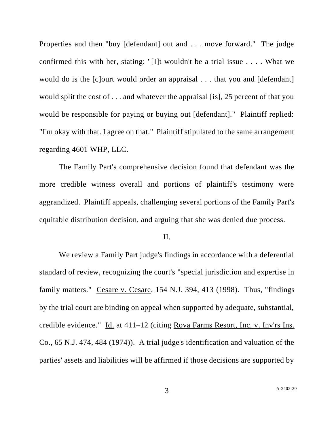Properties and then "buy [defendant] out and . . . move forward." The judge confirmed this with her, stating: "[I]t wouldn't be a trial issue . . . . What we would do is the [c]ourt would order an appraisal . . . that you and [defendant] would split the cost of . . . and whatever the appraisal [is], 25 percent of that you would be responsible for paying or buying out [defendant]." Plaintiff replied: "I'm okay with that. I agree on that." Plaintiff stipulated to the same arrangement regarding 4601 WHP, LLC.

The Family Part's comprehensive decision found that defendant was the more credible witness overall and portions of plaintiff's testimony were aggrandized. Plaintiff appeals, challenging several portions of the Family Part's equitable distribution decision, and arguing that she was denied due process.

#### II.

We review a Family Part judge's findings in accordance with a deferential standard of review, recognizing the court's "special jurisdiction and expertise in family matters." Cesare v. Cesare, 154 N.J. 394, 413 (1998). Thus, "findings by the trial court are binding on appeal when supported by adequate, substantial, credible evidence." Id. at 411–12 (citing Rova Farms Resort, Inc. v. Inv'rs Ins. Co., 65 N.J. 474, 484 (1974)). A trial judge's identification and valuation of the parties' assets and liabilities will be affirmed if those decisions are supported by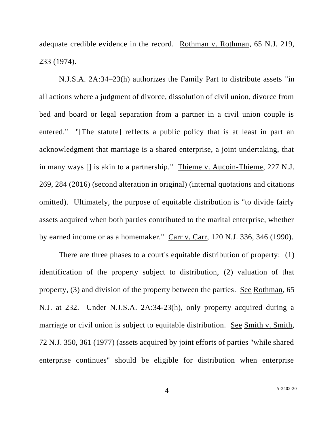adequate credible evidence in the record. Rothman v. Rothman, 65 N.J. 219, 233 (1974).

N.J.S.A. 2A:34–23(h) authorizes the Family Part to distribute assets "in all actions where a judgment of divorce, dissolution of civil union, divorce from bed and board or legal separation from a partner in a civil union couple is entered." "[The statute] reflects a public policy that is at least in part an acknowledgment that marriage is a shared enterprise, a joint undertaking, that in many ways [] is akin to a partnership." Thieme v. Aucoin-Thieme, 227 N.J. 269, 284 (2016) (second alteration in original) (internal quotations and citations omitted). Ultimately, the purpose of equitable distribution is "to divide fairly assets acquired when both parties contributed to the marital enterprise, whether by earned income or as a homemaker." Carr v. Carr, 120 N.J. 336, 346 (1990).

There are three phases to a court's equitable distribution of property: (1) identification of the property subject to distribution, (2) valuation of that property, (3) and division of the property between the parties. See Rothman, 65 N.J. at 232. Under N.J.S.A. 2A:34-23(h), only property acquired during a marriage or civil union is subject to equitable distribution. See Smith v. Smith, 72 N.J. 350, 361 (1977) (assets acquired by joint efforts of parties "while shared enterprise continues" should be eligible for distribution when enterprise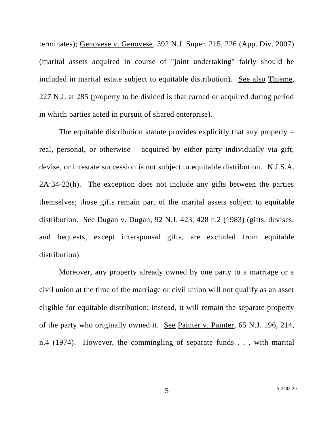terminates); Genovese v. Genovese, 392 N.J. Super. 215, 226 (App. Div. 2007) (marital assets acquired in course of "joint undertaking" fairly should be included in marital estate subject to equitable distribution). See also Thieme, 227 N.J. at 285 (property to be divided is that earned or acquired during period in which parties acted in pursuit of shared enterprise).

The equitable distribution statute provides explicitly that any property  $$ real, personal, or otherwise – acquired by either party individually via gift, devise, or intestate succession is not subject to equitable distribution. N.J.S.A. 2A:34-23(h). The exception does not include any gifts between the parties themselves; those gifts remain part of the marital assets subject to equitable distribution. See Dugan v. Dugan, 92 N.J. 423, 428 n.2 (1983) (gifts, devises, and bequests, except interspousal gifts, are excluded from equitable distribution).

Moreover, any property already owned by one party to a marriage or a civil union at the time of the marriage or civil union will not qualify as an asset eligible for equitable distribution; instead, it will remain the separate property of the party who originally owned it. See Painter v. Painter, 65 N.J. 196, 214, n.4 (1974). However, the commingling of separate funds . . . with marital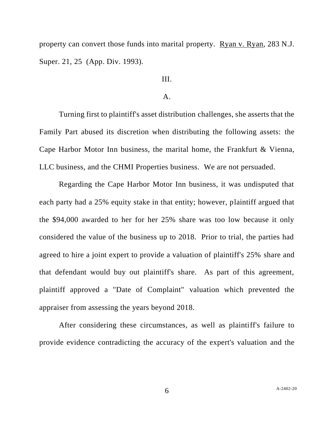property can convert those funds into marital property. Ryan v. Ryan, 283 N.J. Super. 21, 25 (App. Div. 1993).

# III.

### A.

Turning first to plaintiff's asset distribution challenges, she asserts that the Family Part abused its discretion when distributing the following assets: the Cape Harbor Motor Inn business, the marital home, the Frankfurt & Vienna, LLC business, and the CHMI Properties business. We are not persuaded.

Regarding the Cape Harbor Motor Inn business, it was undisputed that each party had a 25% equity stake in that entity; however, plaintiff argued that the \$94,000 awarded to her for her 25% share was too low because it only considered the value of the business up to 2018. Prior to trial, the parties had agreed to hire a joint expert to provide a valuation of plaintiff's 25% share and that defendant would buy out plaintiff's share. As part of this agreement, plaintiff approved a "Date of Complaint" valuation which prevented the appraiser from assessing the years beyond 2018.

After considering these circumstances, as well as plaintiff's failure to provide evidence contradicting the accuracy of the expert's valuation and the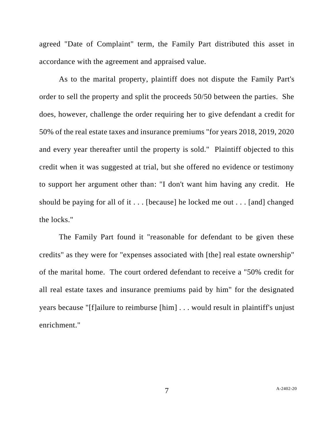agreed "Date of Complaint" term, the Family Part distributed this asset in accordance with the agreement and appraised value.

As to the marital property, plaintiff does not dispute the Family Part's order to sell the property and split the proceeds 50/50 between the parties. She does, however, challenge the order requiring her to give defendant a credit for 50% of the real estate taxes and insurance premiums "for years 2018, 2019, 2020 and every year thereafter until the property is sold." Plaintiff objected to this credit when it was suggested at trial, but she offered no evidence or testimony to support her argument other than: "I don't want him having any credit. He should be paying for all of it . . . [because] he locked me out . . . [and] changed the locks."

The Family Part found it "reasonable for defendant to be given these credits" as they were for "expenses associated with [the] real estate ownership" of the marital home. The court ordered defendant to receive a "50% credit for all real estate taxes and insurance premiums paid by him" for the designated years because "[f]ailure to reimburse [him] . . . would result in plaintiff's unjust enrichment."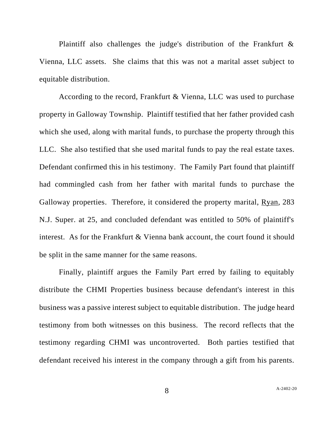Plaintiff also challenges the judge's distribution of the Frankfurt & Vienna, LLC assets. She claims that this was not a marital asset subject to equitable distribution.

According to the record, Frankfurt & Vienna, LLC was used to purchase property in Galloway Township. Plaintiff testified that her father provided cash which she used, along with marital funds, to purchase the property through this LLC. She also testified that she used marital funds to pay the real estate taxes. Defendant confirmed this in his testimony. The Family Part found that plaintiff had commingled cash from her father with marital funds to purchase the Galloway properties. Therefore, it considered the property marital, Ryan, 283 N.J. Super. at 25, and concluded defendant was entitled to 50% of plaintiff's interest. As for the Frankfurt & Vienna bank account, the court found it should be split in the same manner for the same reasons.

Finally, plaintiff argues the Family Part erred by failing to equitably distribute the CHMI Properties business because defendant's interest in this business was a passive interest subject to equitable distribution. The judge heard testimony from both witnesses on this business. The record reflects that the testimony regarding CHMI was uncontroverted. Both parties testified that defendant received his interest in the company through a gift from his parents.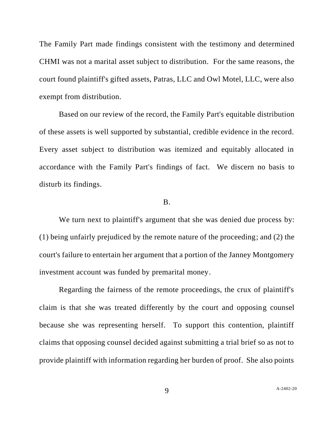The Family Part made findings consistent with the testimony and determined CHMI was not a marital asset subject to distribution. For the same reasons, the court found plaintiff's gifted assets, Patras, LLC and Owl Motel, LLC, were also exempt from distribution.

Based on our review of the record, the Family Part's equitable distribution of these assets is well supported by substantial, credible evidence in the record. Every asset subject to distribution was itemized and equitably allocated in accordance with the Family Part's findings of fact. We discern no basis to disturb its findings.

#### B.

We turn next to plaintiff's argument that she was denied due process by: (1) being unfairly prejudiced by the remote nature of the proceeding; and (2) the court's failure to entertain her argument that a portion of the Janney Montgomery investment account was funded by premarital money.

Regarding the fairness of the remote proceedings, the crux of plaintiff's claim is that she was treated differently by the court and opposing counsel because she was representing herself. To support this contention, plaintiff claims that opposing counsel decided against submitting a trial brief so as not to provide plaintiff with information regarding her burden of proof. She also points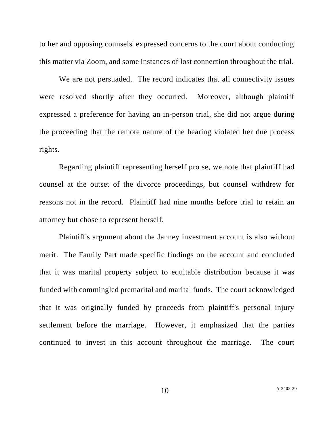to her and opposing counsels' expressed concerns to the court about conducting this matter via Zoom, and some instances of lost connection throughout the trial.

We are not persuaded. The record indicates that all connectivity issues were resolved shortly after they occurred. Moreover, although plaintiff expressed a preference for having an in-person trial, she did not argue during the proceeding that the remote nature of the hearing violated her due process rights.

Regarding plaintiff representing herself pro se, we note that plaintiff had counsel at the outset of the divorce proceedings, but counsel withdrew for reasons not in the record. Plaintiff had nine months before trial to retain an attorney but chose to represent herself.

Plaintiff's argument about the Janney investment account is also without merit. The Family Part made specific findings on the account and concluded that it was marital property subject to equitable distribution because it was funded with commingled premarital and marital funds. The court acknowledged that it was originally funded by proceeds from plaintiff's personal injury settlement before the marriage. However, it emphasized that the parties continued to invest in this account throughout the marriage. The court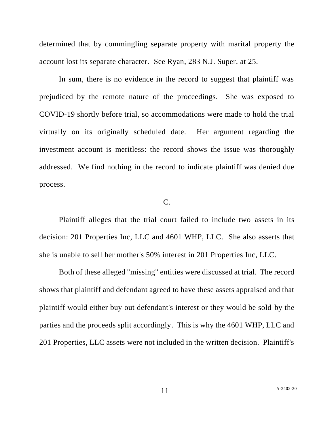determined that by commingling separate property with marital property the account lost its separate character. See Ryan, 283 N.J. Super. at 25.

In sum, there is no evidence in the record to suggest that plaintiff was prejudiced by the remote nature of the proceedings. She was exposed to COVID-19 shortly before trial, so accommodations were made to hold the trial virtually on its originally scheduled date. Her argument regarding the investment account is meritless: the record shows the issue was thoroughly addressed. We find nothing in the record to indicate plaintiff was denied due process.

# C.

Plaintiff alleges that the trial court failed to include two assets in its decision: 201 Properties Inc, LLC and 4601 WHP, LLC. She also asserts that she is unable to sell her mother's 50% interest in 201 Properties Inc, LLC.

Both of these alleged "missing" entities were discussed at trial. The record shows that plaintiff and defendant agreed to have these assets appraised and that plaintiff would either buy out defendant's interest or they would be sold by the parties and the proceeds split accordingly. This is why the 4601 WHP, LLC and 201 Properties, LLC assets were not included in the written decision. Plaintiff's